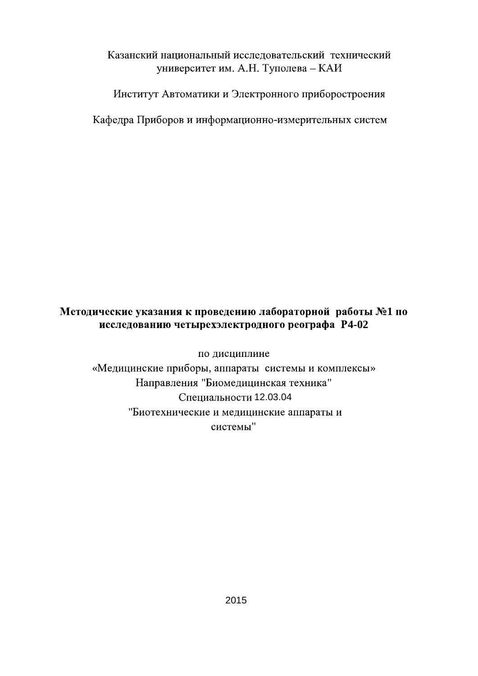### Казанский национальный исследовательский технический университет им. А.Н. Туполева - КАИ

Институт Автоматики и Электронного приборостроения

Кафедра Приборов и информационно-измерительных систем

### Методические указания к проведению лабораторной работы №1 по исследованию четырехэлектродного реографа Р4-02

по дисциплине «Медицинские приборы, аппараты системы и комплексы» Направления "Биомедицинская техника" Специальности 12.03.04 "Биотехнические и медицинские аппараты и системы"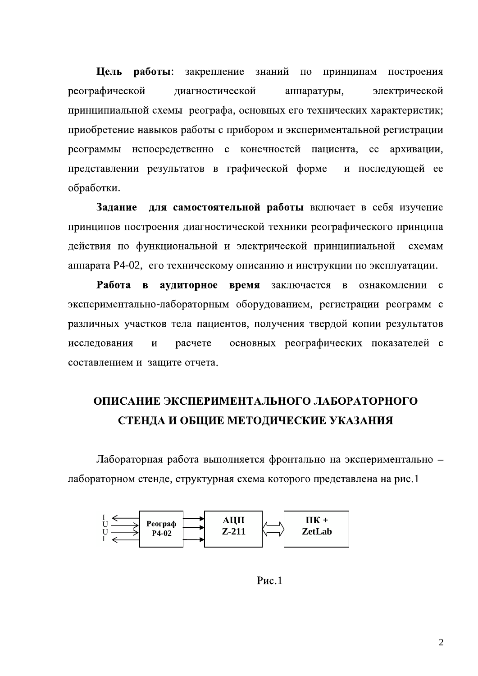Цель работы: закрепление знаний принципам  $\Pi$ O построения реографической диагностической электрической аппаратуры, принципиальной схемы реографа, основных его технических характеристик; приобретение навыков работы с прибором и экспериментальной регистрации непосредственно с конечностей пациента, ее архивации, реограммы представлении результатов в графической форме и последующей ее обработки.

для самостоятельной работы включает в себя изучение Залание принципов построения диагностической техники реографического принципа действия по функциональной и электрической принципиальной схемам аппарата Р4-02, его техническому описанию и инструкции по эксплуатации.

Работа в аудиторное время заключается в ознакомлении с экспериментально-лабораторным оборудованием, регистрации реограмм с различных участков тела пациентов, получения твердой копии результатов исследования  $\mathbf{M}$ расчете основных реографических показателей с составлением и зашите отчета.

## ОПИСАНИЕ ЭКСПЕРИМЕНТАЛЬНОГО ЛАБОРАТОРНОГО СТЕНДА И ОБЩИЕ МЕТОДИЧЕСКИЕ УКАЗАНИЯ

Лабораторная работа выполняется фронтально на экспериментально лабораторном стенде, структурная схема которого представлена на рис.1



 $P$ ис. $1$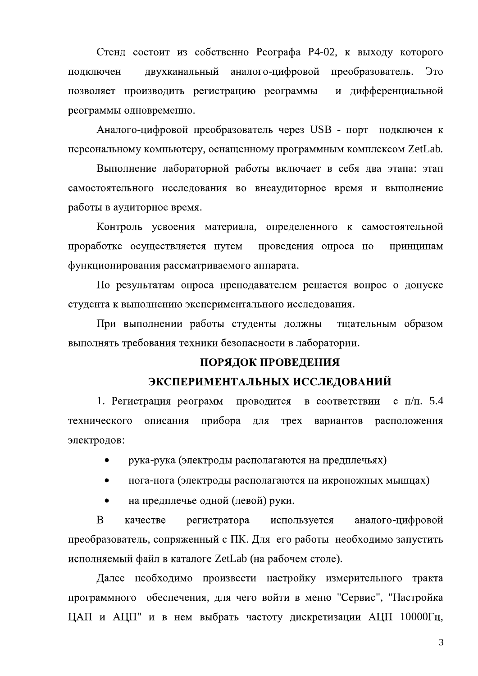Стенд состоит из собственно Реографа Р4-02, к выходу которого двухканальный аналого-цифровой преобразователь. подключен Это позволяет производить регистрацию реограммы и дифференциальной реограммы одновременно.

Аналого-цифровой преобразователь через USB - порт подключен к персональному компьютеру, оснащенному программным комплексом ZetLab.

Выполнение лабораторной работы включает в себя два этапа: этап самостоятельного исследования во внеаудиторное время и выполнение работы в аудиторное время.

Контроль усвоения материала, определенного к самостоятельной проработке осуществляется путем проведения опроса по принципам функционирования рассматриваемого аппарата.

По результатам опроса преподавателем решается вопрос о допуске студента к выполнению экспериментального исследования.

При выполнении работы студенты должны тщательным образом выполнять требования техники безопасности в лаборатории.

#### ПОРЯДОК ПРОВЕДЕНИЯ

#### ЭКСПЕРИМЕНТАЛЬНЫХ ИССЛЕДОВАНИЙ

1. Регистрация реограмм в соответствии c  $\pi/\pi$ . 5.4 проводится прибора технического описания **Tpex** вариантов расположения ДЛЯ электродов:

рука-рука (электроды располагаются на предплечьях)

- нога-нога (электроды располагаются на икроножных мышцах)
- на предплечье одной (левой) руки.

<sub>B</sub> аналого-цифровой качестве регистратора используется преобразователь, сопряженный с ПК. Для его работы необходимо запустить исполняемый файл в каталоге ZetLab (на рабочем столе).

Далее необходимо произвести настройку измерительного тракта программного обеспечения, для чего войти в меню "Сервис", "Настройка ЦАП и АЦП" и в нем выбрать частоту дискретизации АЦП 10000Гц,

 $\overline{3}$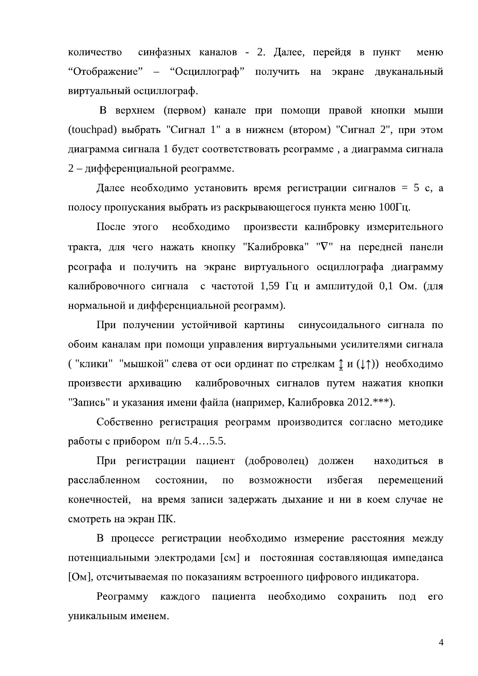синфазных каналов - 2. Далее, перейдя в пункт количество меню " Отображение" – "Осциллограф" получить на экране двуканальный виртуальный осциллограф.

В верхнем (первом) канале при помощи правой кнопки мыши (touchpad) выбрать "Сигнал 1" а в нижнем (втором) "Сигнал 2", при этом диаграмма сигнала 1 будет соответствовать реограмме, а диаграмма сигнала  $2 - \mu$ ифференциальной реограмме.

Далее необходимо установить время регистрации сигналов = 5 с, а полосу пропускания выбрать из раскрывающегося пункта меню  $100\Gamma$ ц.

После этого необходимо произвести калибровку измерительного тракта, для чего нажать кнопку "Калибровка" " $\nabla$ " на передней панели реографа и получить на экране виртуального осциллографа диаграмму калибровочного сигнала с частотой 1,59 Гц и амплитудой 0,1 Ом. (для нормальной и дифференциальной реограмм).

При получении устойчивой картины синусоидального сигнала по обоим каналам при помощи управления виртуальными усилителями сигнала ("клики" "мышкой" слева от оси ординат по стрелкам  $\updownarrow$  и ( $\downarrow \uparrow$ )) необходимо произвести архивацию калибровочных сигналов путем нажатия кнопки "Запись" и указания имени файла (например, Калибровка 2012.\*\*\*).

Собственно регистрация реограмм производится согласно методике работы с прибором  $\pi/\pi$  5.4…5.5.

При регистрации пациент (доброволец) должен находиться  $\mathbf{B}$ расслабленном состоянии, возможности избегая  $\Pi$ <sup>O</sup> перемещений конечностей, на время записи задержать дыхание и ни в коем случае не смотреть на экран ПК.

В процессе регистрации необходимо измерение расстояния между потенциальными электродами [см] и постоянная составляющая импеданса [Ом], отсчитываемая по показаниям встроенного цифрового индикатора.

пациента необходимо Реограмму каждого сохранить под  $er$ уникальным именем.

4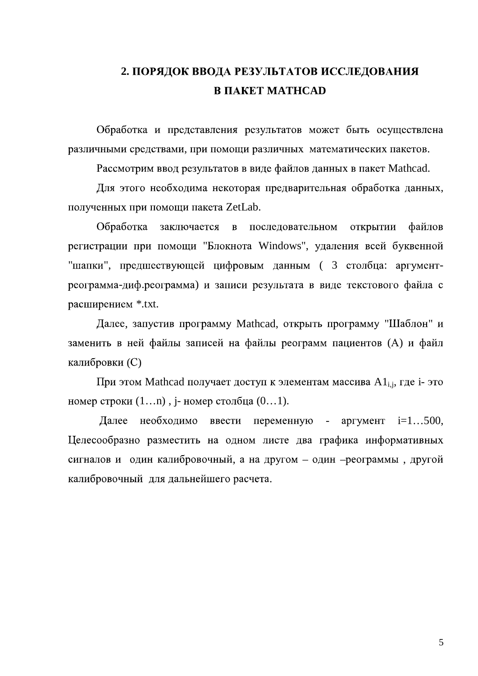## 2. ПОРЯДОК ВВОДА РЕЗУЛЬТАТОВ ИССЛЕДОВАНИЯ **B HAKET MATHCAD**

Обработка и представления результатов может быть осуществлена различными средствами, при помощи различных математических пакетов.

Рассмотрим ввод результатов в виде файлов данных в пакет Mathcad.

Для этого необходима некоторая предварительная обработка данных, полученных при помощи пакета ZetLab.

Обработка заключается в последовательном файлов ОТКРЫТИИ регистрации при помощи "Блокнота Windows", удаления всей буквенной "шапки", предшествующей цифровым данным ( 3 столбца: аргументреограмма-диф.реограмма) и записи результата в виде текстового файла с расширением \*.txt.

Далее, запустив программу Mathcad, открыть программу "Шаблон" и заменить в ней файлы записей на файлы реограмм пациентов (А) и файл калибровки (С)

При этом Mathcad получает доступ к элементам массива  $AI_{i,i}$ , где *i*- это номер строки  $(1...n)$ , *j*-номер столбца  $(0...1)$ .

Далее необходимо ввести переменную аргумент  $i=1...500$ , Целесообразно разместить на одном листе два графика информативных сигналов и один калибровочный, а на другом - один - реограммы, другой калибровочный для дальнейшего расчета.

5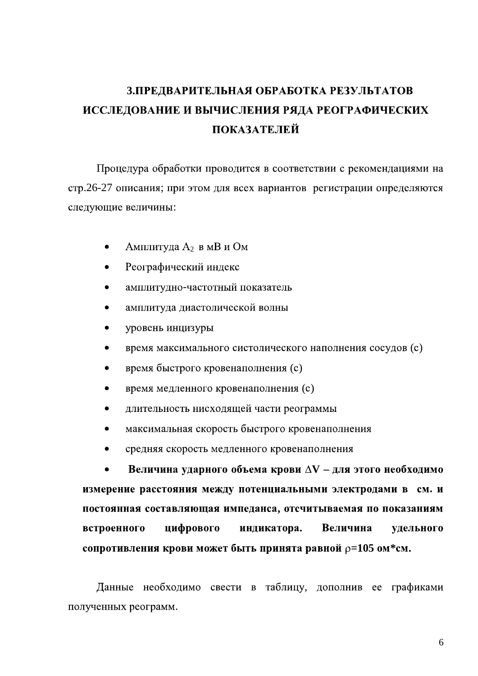# 3. ПРЕДВАРИТЕЛЬНАЯ ОБРАБОТКА РЕЗУЛЬТАТОВ ИССЛЕДОВАНИЕ И ВЫЧИСЛЕНИЯ РЯДА РЕОГРАФИЧЕСКИХ **ПОКАЗАТЕЛЕЙ**

Процедура обработки проводится в соответствии с рекомендациями на стр.26-27 описания; при этом для всех вариантов регистрации определяются следующие величины:

- Амплитуда А2 в мВ и Ом  $\bullet$
- Реографический индекс
- амплитудно-частотный показатель
- амплитуда диастолической волны
- уровень инцизуры
- время максимального систолического наполнения сосудов (с)
- время быстрого кровенаполнения (с)
- время медленного кровенаполнения (с)
- длительность нисходящей части реограммы
- максимальная скорость быстрого кровенаполнения
- средняя скорость медленного кровенаполнения

Величина ударного объема крови  $\Delta V$  – для этого необходимо измерение расстояния между потенциальными электродами в см. и постоянная составляющая импеданса, отсчитываемая по показаниям цифрового встроенного индикатора. Величина удельного сопротивления крови может быть принята равной  $p=105$  ом\*см.

Данные необходимо свести в таблицу, дополнив ее графиками полученных реограмм.